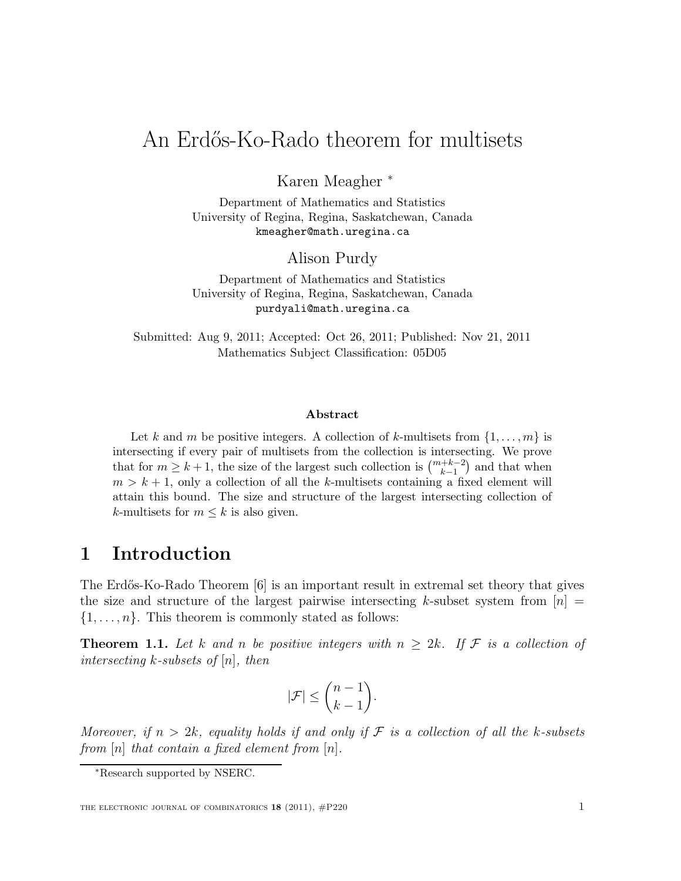# An Erdős-Ko-Rado theorem for multisets

Karen Meagher <sup>∗</sup>

Department of Mathematics and Statistics University of Regina, Regina, Saskatchewan, Canada kmeagher@math.uregina.ca

#### Alison Purdy

Department of Mathematics and Statistics University of Regina, Regina, Saskatchewan, Canada purdyali@math.uregina.ca

Submitted: Aug 9, 2011; Accepted: Oct 26, 2011; Published: Nov 21, 2011 Mathematics Subject Classification: 05D05

#### Abstract

Let k and m be positive integers. A collection of k-multisets from  $\{1,\ldots,m\}$  is intersecting if every pair of multisets from the collection is intersecting. We prove that for  $m \geq k+1$ , the size of the largest such collection is  $\binom{m+k-2}{k-1}$  and that when  $m > k + 1$ , only a collection of all the k-multisets containing a fixed element will attain this bound. The size and structure of the largest intersecting collection of k-multisets for  $m \leq k$  is also given.

## 1 Introduction

The Erdős-Ko-Rado Theorem [6] is an important result in extremal set theory that gives the size and structure of the largest pairwise intersecting k-subset system from  $[n] =$  $\{1, \ldots, n\}$ . This theorem is commonly stated as follows:

**Theorem 1.1.** Let k and n be positive integers with  $n \geq 2k$ . If F is a collection of intersecting k-subsets of  $[n]$ , then

$$
|\mathcal{F}| \le \binom{n-1}{k-1}.
$$

Moreover, if  $n > 2k$ , equality holds if and only if  $\mathcal F$  is a collection of all the k-subsets from  $[n]$  that contain a fixed element from  $[n]$ .

<sup>∗</sup>Research supported by NSERC.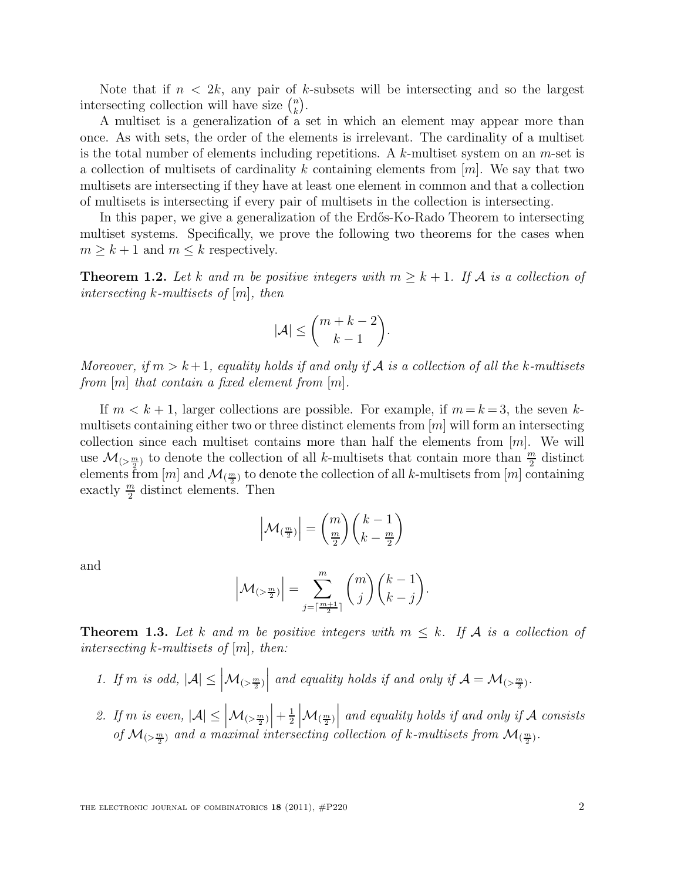Note that if  $n < 2k$ , any pair of k-subsets will be intersecting and so the largest intersecting collection will have size  $\binom{n}{k}$  $\binom{n}{k}$ .

A multiset is a generalization of a set in which an element may appear more than once. As with sets, the order of the elements is irrelevant. The cardinality of a multiset is the total number of elements including repetitions. A  $k$ -multiset system on an  $m$ -set is a collection of multisets of cardinality k containing elements from  $[m]$ . We say that two multisets are intersecting if they have at least one element in common and that a collection of multisets is intersecting if every pair of multisets in the collection is intersecting.

In this paper, we give a generalization of the Erdős-Ko-Rado Theorem to intersecting multiset systems. Specifically, we prove the following two theorems for the cases when  $m \geq k+1$  and  $m \leq k$  respectively.

**Theorem 1.2.** Let k and m be positive integers with  $m \geq k+1$ . If A is a collection of intersecting  $k$ -multisets of  $[m]$ , then

$$
|\mathcal{A}| \le \binom{m+k-2}{k-1}.
$$

Moreover, if  $m > k+1$ , equality holds if and only if A is a collection of all the k-multisets from  $[m]$  that contain a fixed element from  $[m]$ .

If  $m < k + 1$ , larger collections are possible. For example, if  $m = k = 3$ , the seven kmultisets containing either two or three distinct elements from  $|m|$  will form an intersecting collection since each multiset contains more than half the elements from  $[m]$ . We will use  $\mathcal{M}_{(>\frac{m}{2})}$  to denote the collection of all k-multisets that contain more than  $\frac{m}{2}$  distinct elements from  $[m]$  and  $\mathcal{M}_{(\frac{m}{2})}$  to denote the collection of all  $k$ -multisets from  $[m]$  containing exactly  $\frac{m}{2}$  distinct elements. Then

$$
\left| \mathcal{M}_{\left(\frac{m}{2}\right)} \right| = \binom{m}{\frac{m}{2}} \binom{k-1}{k-\frac{m}{2}}
$$

and

$$
\left|\mathcal{M}_{(>\frac{m}{2})}\right| = \sum_{j=\lceil\frac{m+1}{2}\rceil}^{m} {m \choose j} {k-1 \choose k-j}.
$$

**Theorem 1.3.** Let k and m be positive integers with  $m \leq k$ . If A is a collection of intersecting  $k$ -multisets of  $[m]$ , then:

- 1. If m is odd,  $|\mathcal{A}| \leq |\mathcal{M}_{(>\frac{m}{2})}|$  and equality holds if and only if  $\mathcal{A} = \mathcal{M}_{(\geq \frac{m}{2})}$ .
- 2. If m is even,  $|\mathcal{A}| \leq |\mathcal{M}_{(>\frac{m}{2})}| + \frac{1}{2}$ 2  $\left|\mathcal{M}_{\left(\frac{m}{2}\right)}\right|$  and equality holds if and only if A consists of  $\mathcal{M}_{(>\frac{m}{2})}$  and a maximal intersecting collection of k-multisets from  $\mathcal{M}_{(\frac{m}{2})}$ .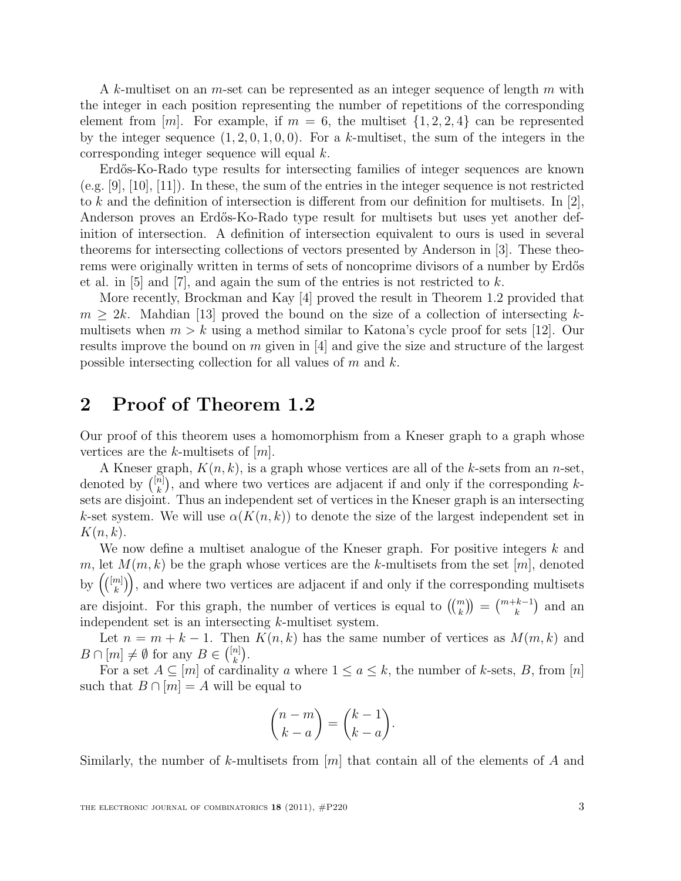A k-multiset on an m-set can be represented as an integer sequence of length m with the integer in each position representing the number of repetitions of the corresponding element from [m]. For example, if  $m = 6$ , the multiset  $\{1, 2, 2, 4\}$  can be represented by the integer sequence  $(1, 2, 0, 1, 0, 0)$ . For a k-multiset, the sum of the integers in the corresponding integer sequence will equal k.

Erdős-Ko-Rado type results for intersecting families of integer sequences are known  $(e.g. [9], [10], [11])$ . In these, the sum of the entries in the integer sequence is not restricted to k and the definition of intersection is different from our definition for multisets. In  $[2]$ , Anderson proves an Erdős-Ko-Rado type result for multisets but uses yet another definition of intersection. A definition of intersection equivalent to ours is used in several theorems for intersecting collections of vectors presented by Anderson in [3]. These theorems were originally written in terms of sets of noncoprime divisors of a number by Erdős et al. in [5] and [7], and again the sum of the entries is not restricted to  $k$ .

More recently, Brockman and Kay [4] proved the result in Theorem 1.2 provided that  $m \geq 2k$ . Mahdian [13] proved the bound on the size of a collection of intersecting kmultisets when  $m > k$  using a method similar to Katona's cycle proof for sets [12]. Our results improve the bound on m given in  $[4]$  and give the size and structure of the largest possible intersecting collection for all values of  $m$  and  $k$ .

## 2 Proof of Theorem 1.2

Our proof of this theorem uses a homomorphism from a Kneser graph to a graph whose vertices are the k-multisets of  $[m]$ .

A Kneser graph,  $K(n, k)$ , is a graph whose vertices are all of the k-sets from an n-set, denoted by  $\binom{[n]}{k}$  $\binom{n}{k}$ , and where two vertices are adjacent if and only if the corresponding ksets are disjoint. Thus an independent set of vertices in the Kneser graph is an intersecting k-set system. We will use  $\alpha(K(n,k))$  to denote the size of the largest independent set in  $K(n, k)$ .

We now define a multiset analogue of the Kneser graph. For positive integers  $k$  and m, let  $M(m, k)$  be the graph whose vertices are the k-multisets from the set  $[m]$ , denoted by  $\left(\binom{[m]}{k}\right)$  $\binom{m}{k}$ , and where two vertices are adjacent if and only if the corresponding multisets are disjoint. For this graph, the number of vertices is equal to  $\binom{m}{k} = \binom{m+k-1}{k}$  and an independent set is an intersecting k-multiset system.

Let  $n = m + k - 1$ . Then  $K(n, k)$  has the same number of vertices as  $M(m, k)$  and  $B \cap [m] \neq \emptyset$  for any  $B \in \binom{[n]}{k}$  $\binom{n}{k}$ .

For a set  $A \subseteq [m]$  of cardinality a where  $1 \le a \le k$ , the number of k-sets, B, from [n] such that  $B \cap [m] = A$  will be equal to

$$
\binom{n-m}{k-a} = \binom{k-1}{k-a}.
$$

Similarly, the number of k-multisets from  $|m|$  that contain all of the elements of A and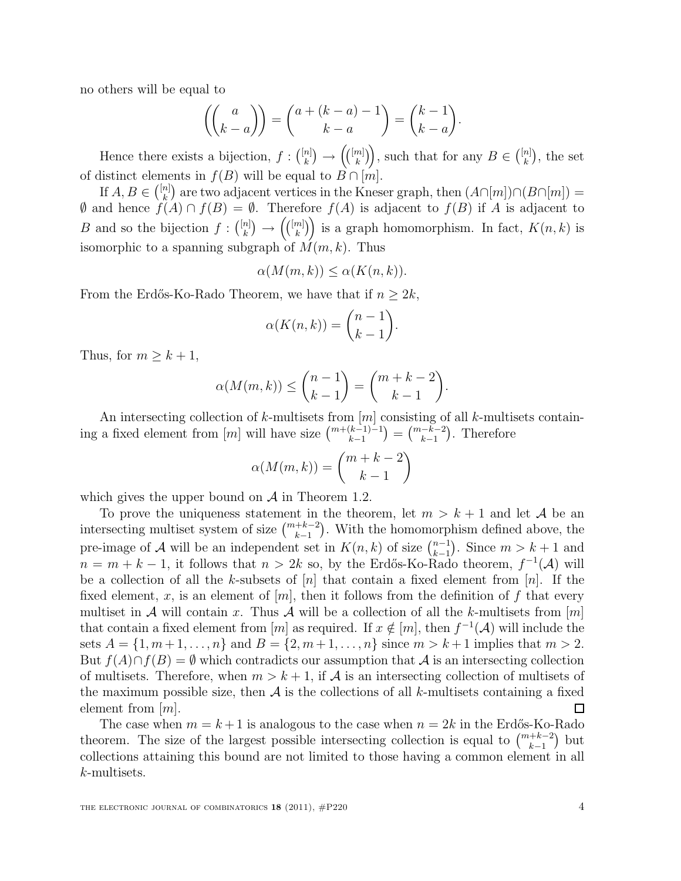no others will be equal to

$$
\left( \begin{pmatrix} a \\ k-a \end{pmatrix} \right) = \begin{pmatrix} a + (k-a) - 1 \\ k-a \end{pmatrix} = \begin{pmatrix} k-1 \\ k-a \end{pmatrix}.
$$

Hence there exists a bijection,  $f: \binom{[n]}{k}$  $\binom{n}{k}\ \rightarrow\ \left(\binom{[m]}{k}\right.$  $\binom{m}{k}$ , such that for any  $B \in \binom{[n]}{k}$  $\binom{n}{k}$ , the set of distinct elements in  $f(B)$  will be equal to  $B \cap [m]$ .

If  $A, B \in \binom{[n]}{k}$  $\binom{n}{k}$  are two adjacent vertices in the Kneser graph, then  $(A\cap [m])\cap (B\cap [m]) =$ Ø and hence  $f(A) \cap f(B) = ∅$ . Therefore  $f(A)$  is adjacent to  $f(B)$  if A is adjacent to B and so the bijection  $f: \binom{[n]}{k}$  $\binom{[m]}{k}\ \rightarrow\ \left(\binom{[m]}{k}\right.$  $\binom{m}{k}$  is a graph homomorphism. In fact,  $K(n, k)$  is isomorphic to a spanning subgraph of  $M(m, k)$ . Thus

$$
\alpha(M(m,k)) \le \alpha(K(n,k)).
$$

From the Erdős-Ko-Rado Theorem, we have that if  $n \geq 2k$ ,

$$
\alpha(K(n,k)) = \binom{n-1}{k-1}.
$$

Thus, for  $m \geq k+1$ ,

$$
\alpha(M(m,k)) \le \binom{n-1}{k-1} = \binom{m+k-2}{k-1}.
$$

An intersecting collection of k-multisets from  $[m]$  consisting of all k-multisets containing a fixed element from  $[m]$  will have size  $\binom{m+(k-1)-1}{k-1} = \binom{m-k-2}{k-1}$ . Therefore

$$
\alpha(M(m,k)) = \binom{m+k-2}{k-1}
$$

which gives the upper bound on  $A$  in Theorem 1.2.

To prove the uniqueness statement in the theorem, let  $m > k + 1$  and let A be an intersecting multiset system of size  $\binom{m+k-2}{k-1}$ . With the homomorphism defined above, the pre-image of A will be an independent set in  $K(n, k)$  of size  $\binom{n-1}{k-1}$  $\binom{n-1}{k-1}$ . Since  $m > k+1$  and  $n = m + k - 1$ , it follows that  $n > 2k$  so, by the Erdős-Ko-Rado theorem,  $f^{-1}(\mathcal{A})$  will be a collection of all the k-subsets of  $[n]$  that contain a fixed element from  $[n]$ . If the fixed element, x, is an element of  $[m]$ , then it follows from the definition of f that every multiset in A will contain x. Thus A will be a collection of all the k-multisets from  $[m]$ that contain a fixed element from  $[m]$  as required. If  $x \notin [m]$ , then  $f^{-1}(\mathcal{A})$  will include the sets  $A = \{1, m+1, \ldots, n\}$  and  $B = \{2, m+1, \ldots, n\}$  since  $m > k+1$  implies that  $m > 2$ . But  $f(A) \cap f(B) = \emptyset$  which contradicts our assumption that A is an intersecting collection of multisets. Therefore, when  $m > k + 1$ , if A is an intersecting collection of multisets of the maximum possible size, then  $A$  is the collections of all k-multisets containing a fixed element from  $[m]$ .  $\square$ 

The case when  $m = k + 1$  is analogous to the case when  $n = 2k$  in the Erdős-Ko-Rado theorem. The size of the largest possible intersecting collection is equal to  $\binom{m+k-2}{k-1}$  but collections attaining this bound are not limited to those having a common element in all k-multisets.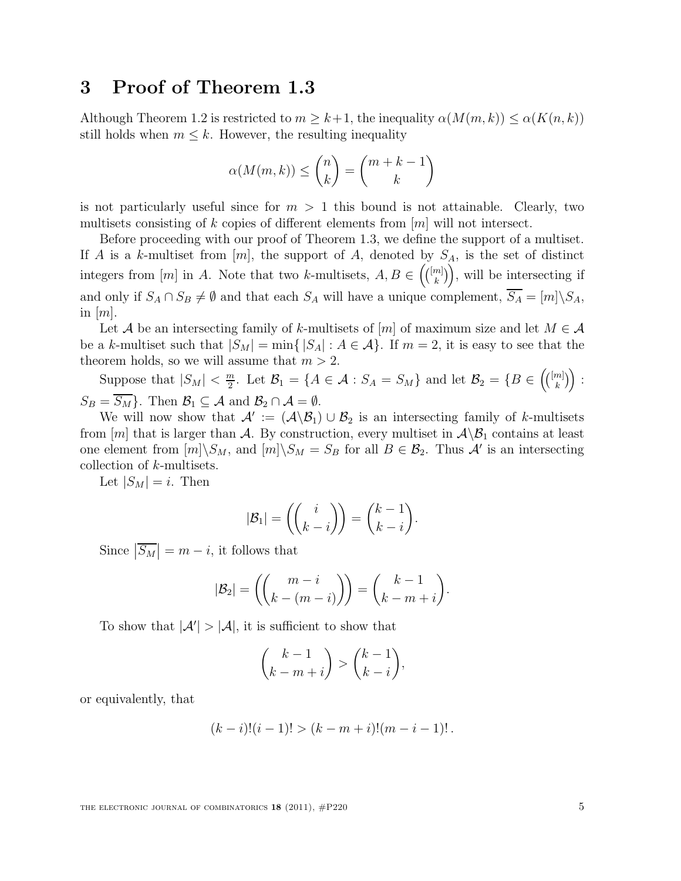## 3 Proof of Theorem 1.3

Although Theorem 1.2 is restricted to  $m \geq k+1$ , the inequality  $\alpha(M(m, k)) \leq \alpha(K(n, k))$ still holds when  $m \leq k$ . However, the resulting inequality

$$
\alpha(M(m,k)) \le \binom{n}{k} = \binom{m+k-1}{k}
$$

is not particularly useful since for  $m > 1$  this bound is not attainable. Clearly, two multisets consisting of k copies of different elements from  $[m]$  will not intersect.

Before proceeding with our proof of Theorem 1.3, we define the support of a multiset. If A is a k-multiset from  $[m]$ , the support of A, denoted by  $S_A$ , is the set of distinct integers from [m] in A. Note that two k-multisets,  $A, B \in \left(\binom{[m]}{k}\right)$  $\binom{m}{k}$ , will be intersecting if and only if  $S_A \cap S_B \neq \emptyset$  and that each  $S_A$  will have a unique complement,  $\overline{S_A} = [m] \setminus S_A$ , in  $[m]$ .

Let A be an intersecting family of k-multisets of  $[m]$  of maximum size and let  $M \in \mathcal{A}$ be a k-multiset such that  $|S_M| = \min\{|S_A| : A \in \mathcal{A}\}\$ . If  $m = 2$ , it is easy to see that the theorem holds, so we will assume that  $m > 2$ .

Suppose that  $|S_M| < \frac{m}{2}$  $\frac{m}{2}$ . Let  $\mathcal{B}_1 = \{A \in \mathcal{A} : S_A = S_M\}$  and let  $\mathcal{B}_2 = \{B \in \left(\binom{[m]}{k}\right)$  $_{k}^{m] \big) \Big) \,$  :  $S_B = \overline{S_M}$ . Then  $\mathcal{B}_1 \subseteq \mathcal{A}$  and  $\mathcal{B}_2 \cap \mathcal{A} = \emptyset$ .

We will now show that  $\mathcal{A}' := (\mathcal{A} \setminus \mathcal{B}_1) \cup \mathcal{B}_2$  is an intersecting family of k-multisets from [m] that is larger than A. By construction, every multiset in  $\mathcal{A}\backslash\mathcal{B}_1$  contains at least one element from  $[m]\setminus S_M$ , and  $[m]\setminus S_M = S_B$  for all  $B \in \mathcal{B}_2$ . Thus  $\mathcal{A}'$  is an intersecting collection of k-multisets.

Let  $|S_M| = i$ . Then

$$
|\mathcal{B}_1| = \left( \binom{i}{k-i} \right) = \binom{k-1}{k-i}.
$$

Since  $\left|\overline{S_M}\right|=m-i$ , it follows that

$$
|\mathcal{B}_2| = \left( \binom{m-i}{k-(m-i)} \right) = \binom{k-1}{k-m+i}.
$$

To show that  $|\mathcal{A}'| > |\mathcal{A}|$ , it is sufficient to show that

$$
\binom{k-1}{k-m+i} > \binom{k-1}{k-i},
$$

or equivalently, that

$$
(k-i)!(i-1)! > (k-m+i)!(m-i-1)! \, .
$$

THE ELECTRONIC JOURNAL OF COMBINATORICS 18  $(2011)$ ,  $\#P220$  5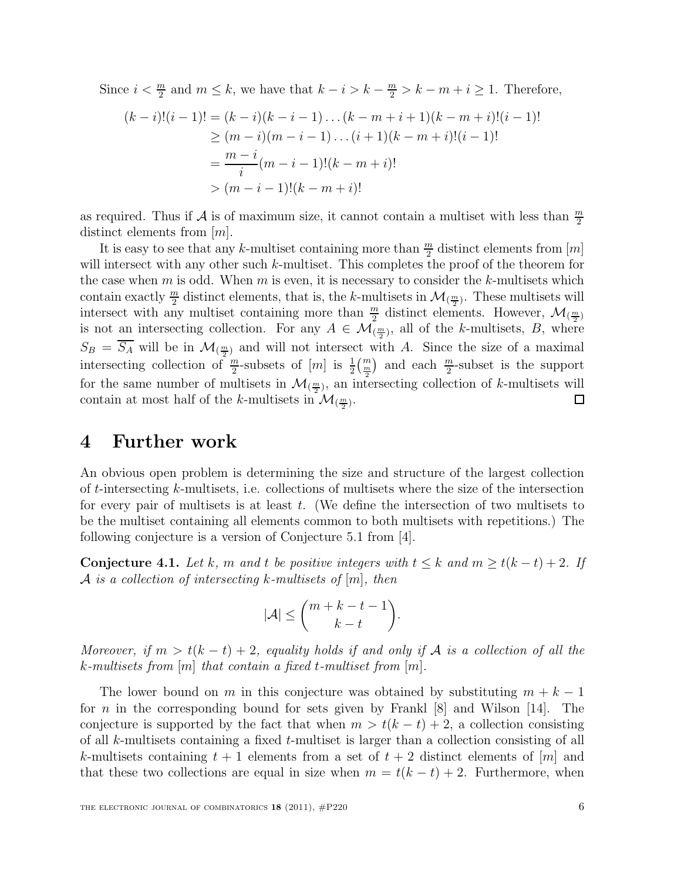Since  $i < \frac{m}{2}$  and  $m \le k$ , we have that  $k - i > k - \frac{m}{2} > k - m + i \ge 1$ . Therefore,

$$
(k-i)!(i-1)! = (k-i)(k-i-1)...(k-m+i+1)(k-m+i)!(i-1)!
$$
  
\n
$$
\geq (m-i)(m-i-1)...(i+1)(k-m+i)!(i-1)!
$$
  
\n
$$
= \frac{m-i}{i}(m-i-1)!(k-m+i)!
$$
  
\n
$$
> (m-i-1)!(k-m+i)!
$$

as required. Thus if A is of maximum size, it cannot contain a multiset with less than  $\frac{m}{2}$ 2 distinct elements from  $[m]$ .

It is easy to see that any k-multiset containing more than  $\frac{m}{2}$  distinct elements from  $[m]$ will intersect with any other such k-multiset. This completes the proof of the theorem for the case when  $m$  is odd. When  $m$  is even, it is necessary to consider the  $k$ -multisets which contain exactly  $\frac{m}{2}$  distinct elements, that is, the k-multisets in  $\mathcal{M}_{(\frac{m}{2})}$ . These multisets will intersect with any multiset containing more than  $\frac{m}{2}$  distinct elements. However,  $\mathcal{M}_{(\frac{m}{2})}$ is not an intersecting collection. For any  $A \in \mathcal{M}_{(\frac{m}{2})}$ , all of the k-multisets, B, where  $S_B = S_A$  will be in  $\mathcal{M}_{(\frac{m}{2})}$  and will not intersect with A. Since the size of a maximal intersecting collection of  $\frac{m}{2}$ -subsets of  $[m]$  is  $\frac{1}{2} \left(\frac{m}{2}\right)$  and each  $\frac{m}{2}$ -subset is the support for the same number of multisets in  $\mathcal{M}_{(\frac{m}{2})}$ , an intersecting collection of k-multisets will contain at most half of the k-multisets in  $\mathcal{M}_{(\frac{m}{2})}$ .  $\Box$ 

#### 4 Further work

An obvious open problem is determining the size and structure of the largest collection of t-intersecting  $k$ -multisets, i.e. collections of multisets where the size of the intersection for every pair of multisets is at least  $t$ . (We define the intersection of two multisets to be the multiset containing all elements common to both multisets with repetitions.) The following conjecture is a version of Conjecture 5.1 from [4].

**Conjecture 4.1.** Let k, m and t be positive integers with  $t \leq k$  and  $m \geq t(k-t)+2$ . If A is a collection of intersecting k-multisets of  $[m]$ , then

$$
|\mathcal{A}| \le \binom{m+k-t-1}{k-t}.
$$

Moreover, if  $m > t(k - t) + 2$ , equality holds if and only if A is a collection of all the k-multisets from  $[m]$  that contain a fixed t-multiset from  $[m]$ .

The lower bound on m in this conjecture was obtained by substituting  $m + k - 1$ for *n* in the corresponding bound for sets given by Frankl  $[8]$  and Wilson [14]. The conjecture is supported by the fact that when  $m > t(k - t) + 2$ , a collection consisting of all k-multisets containing a fixed t-multiset is larger than a collection consisting of all k-multisets containing  $t + 1$  elements from a set of  $t + 2$  distinct elements of  $[m]$  and that these two collections are equal in size when  $m = t(k - t) + 2$ . Furthermore, when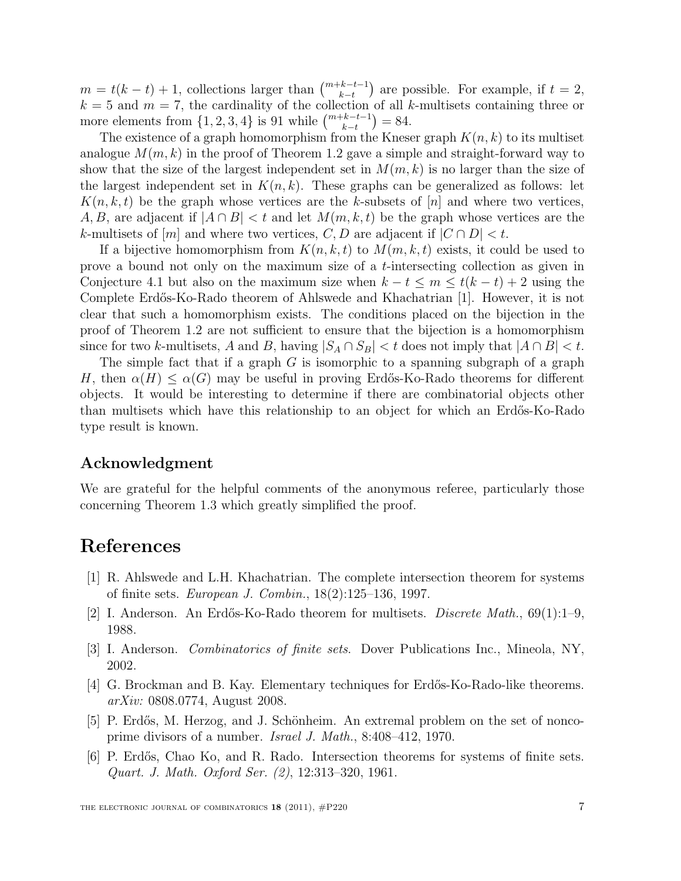$m = t(k-t) + 1$ , collections larger than  $\binom{m+k-t-1}{k-t}$  are possible. For example, if  $t = 2$ ,  $k = 5$  and  $m = 7$ , the cardinality of the collection of all k-multisets containing three or more elements from  $\{1, 2, 3, 4\}$  is 91 while  $\binom{m+k-t-1}{k-t} = 84$ .

The existence of a graph homomorphism from the Kneser graph  $K(n, k)$  to its multiset analogue  $M(m, k)$  in the proof of Theorem 1.2 gave a simple and straight-forward way to show that the size of the largest independent set in  $M(m, k)$  is no larger than the size of the largest independent set in  $K(n, k)$ . These graphs can be generalized as follows: let  $K(n, k, t)$  be the graph whose vertices are the k-subsets of [n] and where two vertices, A, B, are adjacent if  $|A \cap B| < t$  and let  $M(m, k, t)$  be the graph whose vertices are the k-multisets of  $[m]$  and where two vertices, C, D are adjacent if  $|C \cap D| < t$ .

If a bijective homomorphism from  $K(n, k, t)$  to  $M(m, k, t)$  exists, it could be used to prove a bound not only on the maximum size of a t-intersecting collection as given in Conjecture 4.1 but also on the maximum size when  $k - t \le m \le t(k - t) + 2$  using the Complete Erdős-Ko-Rado theorem of Ahlswede and Khachatrian [1]. However, it is not clear that such a homomorphism exists. The conditions placed on the bijection in the proof of Theorem 1.2 are not sufficient to ensure that the bijection is a homomorphism since for two k-multisets, A and B, having  $|S_A \cap S_B| < t$  does not imply that  $|A \cap B| < t$ .

The simple fact that if a graph  $G$  is isomorphic to a spanning subgraph of a graph H, then  $\alpha(H) \leq \alpha(G)$  may be useful in proving Erdős-Ko-Rado theorems for different objects. It would be interesting to determine if there are combinatorial objects other than multisets which have this relationship to an object for which an Erdős-Ko-Rado type result is known.

#### Acknowledgment

We are grateful for the helpful comments of the anonymous referee, particularly those concerning Theorem 1.3 which greatly simplified the proof.

## References

- [1] R. Ahlswede and L.H. Khachatrian. The complete intersection theorem for systems of finite sets. European J. Combin., 18(2):125–136, 1997.
- [2] I. Anderson. An Erdős-Ko-Rado theorem for multisets. *Discrete Math.*,  $69(1)$ :1–9, 1988.
- [3] I. Anderson. Combinatorics of finite sets. Dover Publications Inc., Mineola, NY, 2002.
- [4] G. Brockman and B. Kay. Elementary techniques for Erdős-Ko-Rado-like theorems. arXiv: 0808.0774, August 2008.
- [5] P. Erdős, M. Herzog, and J. Schönheim. An extremal problem on the set of noncoprime divisors of a number. Israel J. Math., 8:408–412, 1970.
- [6] P. Erd˝os, Chao Ko, and R. Rado. Intersection theorems for systems of finite sets. Quart. J. Math. Oxford Ser. (2), 12:313–320, 1961.